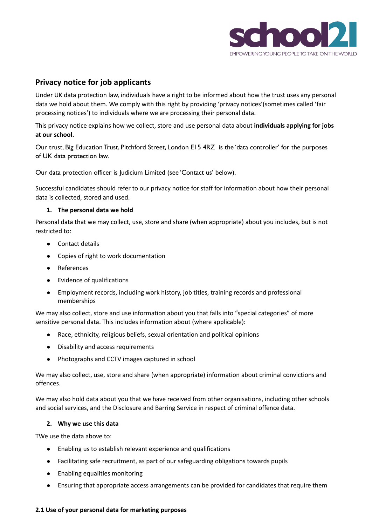

# **Privacy notice for job applicants**

Under UK data protection law, individuals have a right to be informed about how the trust uses any personal data we hold about them. We comply with this right by providing 'privacy notices'(sometimes called 'fair processing notices') to individuals where we are processing their personal data.

This privacy notice explains how we collect, store and use personal data about **individuals applying for jobs at our school.**

Our trust, Big Education Trust, Pitchford Street, London E15 4RZ is the 'data controller' for the purposes of UK data protection law.

Our data protection officer is Judicium Limited (see 'Contact us' below).

Successful candidates should refer to our privacy notice for staff for information about how their personal data is collected, stored and used.

## **1. The personal data we hold**

Personal data that we may collect, use, store and share (when appropriate) about you includes, but is not restricted to:

- Contact details
- Copies of right to work documentation
- References
- Evidence of qualifications
- Employment records, including work history, job titles, training records and professional memberships

We may also collect, store and use information about you that falls into "special categories" of more sensitive personal data. This includes information about (where applicable):

- Race, ethnicity, religious beliefs, sexual orientation and political opinions
- Disability and access requirements
- Photographs and CCTV images captured in school

We may also collect, use, store and share (when appropriate) information about criminal convictions and offences.

We may also hold data about you that we have received from other organisations, including other schools and social services, and the Disclosure and Barring Service in respect of criminal offence data.

#### **2. Why we use this data**

TWe use the data above to:

- Enabling us to establish relevant experience and qualifications
- Facilitating safe recruitment, as part of our safeguarding obligations towards pupils
- Enabling equalities monitoring
- Ensuring that appropriate access arrangements can be provided for candidates that require them

#### **2.1 Use of your personal data for marketing purposes**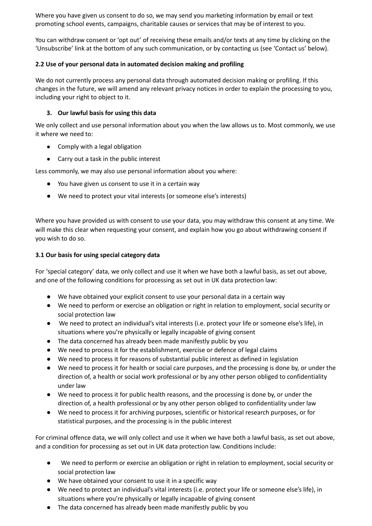Where you have given us consent to do so, we may send you marketing information by email or text promoting school events, campaigns, charitable causes or services that may be of interest to you.

You can withdraw consent or 'opt out' of receiving these emails and/or texts at any time by clicking on the 'Unsubscribe' link at the bottom of any such communication, or by contacting us (see 'Contact us' below).

# **2.2 Use of your personal data in automated decision making and profiling**

We do not currently process any personal data through automated decision making or profiling. If this changes in the future, we will amend any relevant privacy notices in order to explain the processing to you, including your right to object to it.

# **3. Our lawful basis for using this data**

We only collect and use personal information about you when the law allows us to. Most commonly, we use it where we need to:

- Comply with a legal obligation
- Carry out a task in the public interest

Less commonly, we may also use personal information about you where:

- You have given us consent to use it in a certain way
- We need to protect your vital interests (or someone else's interests)

Where you have provided us with consent to use your data, you may withdraw this consent at any time. We will make this clear when requesting your consent, and explain how you go about withdrawing consent if you wish to do so.

# **3.1 Our basis for using special category data**

For 'special category' data, we only collect and use it when we have both a lawful basis, as set out above, and one of the following conditions for processing as set out in UK data protection law:

- We have obtained your explicit consent to use your personal data in a certain way
- We need to perform or exercise an obligation or right in relation to employment, social security or social protection law
- We need to protect an individual's vital interests (i.e. protect your life or someone else's life), in situations where you're physically or legally incapable of giving consent
- The data concerned has already been made manifestly public by you
- We need to process it for the establishment, exercise or defence of legal claims
- We need to process it for reasons of substantial public interest as defined in legislation
- We need to process it for health or social care purposes, and the processing is done by, or under the direction of, a health or social work professional or by any other person obliged to confidentiality under law
- We need to process it for public health reasons, and the processing is done by, or under the direction of, a health professional or by any other person obliged to confidentiality under law
- We need to process it for archiving purposes, scientific or historical research purposes, or for statistical purposes, and the processing is in the public interest

For criminal offence data, we will only collect and use it when we have both a lawful basis, as set out above, and a condition for processing as set out in UK data protection law. Conditions include:

- We need to perform or exercise an obligation or right in relation to employment, social security or social protection law
- We have obtained your consent to use it in a specific way
- We need to protect an individual's vital interests (i.e. protect your life or someone else's life), in situations where you're physically or legally incapable of giving consent
- The data concerned has already been made manifestly public by you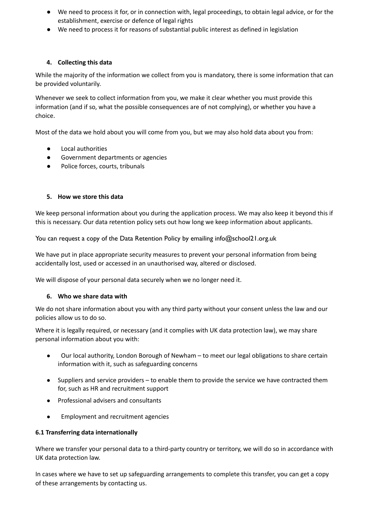- We need to process it for, or in connection with, legal proceedings, to obtain legal advice, or for the establishment, exercise or defence of legal rights
- We need to process it for reasons of substantial public interest as defined in legislation

## **4. Collecting this data**

While the majority of the information we collect from you is mandatory, there is some information that can be provided voluntarily.

Whenever we seek to collect information from you, we make it clear whether you must provide this information (and if so, what the possible consequences are of not complying), or whether you have a choice.

Most of the data we hold about you will come from you, but we may also hold data about you from:

- Local authorities
- Government departments or agencies
- Police forces, courts, tribunals

## **5. How we store this data**

We keep personal information about you during the application process. We may also keep it beyond this if this is necessary. Our data retention policy sets out how long we keep information about applicants.

You can request a copy of the Data Retention Policy by emailing info@school21.org.uk

We have put in place appropriate security measures to prevent your personal information from being accidentally lost, used or accessed in an unauthorised way, altered or disclosed.

We will dispose of your personal data securely when we no longer need it.

#### **6. Who we share data with**

We do not share information about you with any third party without your consent unless the law and our policies allow us to do so.

Where it is legally required, or necessary (and it complies with UK data protection law), we may share personal information about you with:

- Our local authority, London Borough of Newham to meet our legal obligations to share certain information with it, such as safeguarding concerns
- Suppliers and service providers to enable them to provide the service we have contracted them for, such as HR and recruitment support
- Professional advisers and consultants
- Employment and recruitment agencies

#### **6.1 Transferring data internationally**

Where we transfer your personal data to a third-party country or territory, we will do so in accordance with UK data protection law.

In cases where we have to set up safeguarding arrangements to complete this transfer, you can get a copy of these arrangements by contacting us.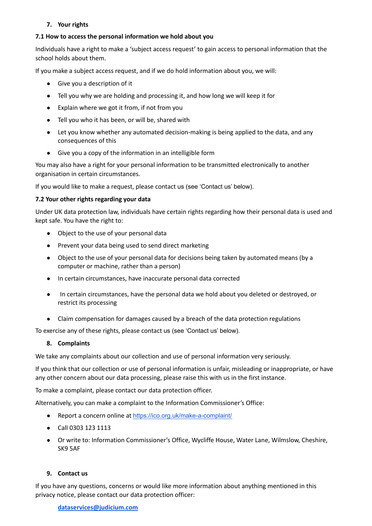# **7. Your rights**

## **7.1 How to access the personal information we hold about you**

Individuals have a right to make a 'subject access request' to gain access to personal information that the school holds about them.

If you make a subject access request, and if we do hold information about you, we will:

- Give you a description of it
- Tell you why we are holding and processing it, and how long we will keep it for
- Explain where we got it from, if not from you
- Tell you who it has been, or will be, shared with
- Let you know whether any automated decision-making is being applied to the data, and any consequences of this
- Give you a copy of the information in an intelligible form

You may also have a right for your personal information to be transmitted electronically to another organisation in certain circumstances.

If you would like to make a request, please contact us (see 'Contact us' below).

#### **7.2 Your other rights regarding your data**

Under UK data protection law, individuals have certain rights regarding how their personal data is used and kept safe. You have the right to:

- Object to the use of your personal data
- Prevent your data being used to send direct marketing
- Object to the use of your personal data for decisions being taken by automated means (by a computer or machine, rather than a person)
- In certain circumstances, have inaccurate personal data corrected
- In certain circumstances, have the personal data we hold about you deleted or destroyed, or restrict its processing
- Claim compensation for damages caused by a breach of the data protection regulations

To exercise any of these rights, please contact us (see 'Contact us' below).

#### **8. Complaints**

We take any complaints about our collection and use of personal information very seriously.

If you think that our collection or use of personal information is unfair, misleading or inappropriate, or have any other concern about our data processing, please raise this with us in the first instance.

To make a complaint, please contact our data protection officer.

Alternatively, you can make a complaint to the Information Commissioner's Office:

- Report a concern online at <https://ico.org.uk/make-a-complaint/>
- Call 0303 123 1113
- Or write to: Information Commissioner's Office, Wycliffe House, Water Lane, Wilmslow, Cheshire, SK9 5AF

#### **9. Contact us**

If you have any questions, concerns or would like more information about anything mentioned in this privacy notice, please contact our data protection officer:

#### **[dataservices@judicium.com](mailto:dataservices@judicium.com)**